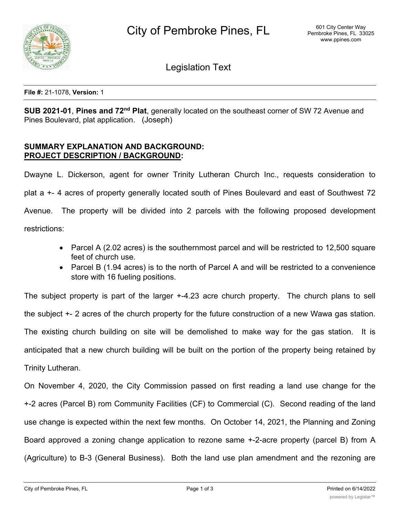

Legislation Text

**File #:** 21-1078, **Version:** 1

**SUB 2021-01**, **Pines and 72nd Plat**, generally located on the southeast corner of SW 72 Avenue and Pines Boulevard, plat application. (Joseph)

# **SUMMARY EXPLANATION AND BACKGROUND: PROJECT DESCRIPTION / BACKGROUND:**

Dwayne L. Dickerson, agent for owner Trinity Lutheran Church Inc., requests consideration to plat a +- 4 acres of property generally located south of Pines Boulevard and east of Southwest 72 Avenue. The property will be divided into 2 parcels with the following proposed development restrictions:

- · Parcel A (2.02 acres) is the southernmost parcel and will be restricted to 12,500 square feet of church use.
- Parcel B (1.94 acres) is to the north of Parcel A and will be restricted to a convenience store with 16 fueling positions.

The subject property is part of the larger +-4.23 acre church property. The church plans to sell the subject +- 2 acres of the church property for the future construction of a new Wawa gas station. The existing church building on site will be demolished to make way for the gas station. It is anticipated that a new church building will be built on the portion of the property being retained by Trinity Lutheran.

On November 4, 2020, the City Commission passed on first reading a land use change for the +-2 acres (Parcel B) rom Community Facilities (CF) to Commercial (C). Second reading of the land use change is expected within the next few months. On October 14, 2021, the Planning and Zoning Board approved a zoning change application to rezone same +-2-acre property (parcel B) from A (Agriculture) to B-3 (General Business). Both the land use plan amendment and the rezoning are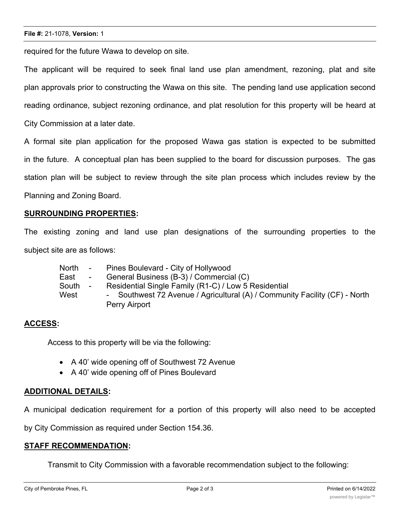#### **File #:** 21-1078, **Version:** 1

required for the future Wawa to develop on site.

The applicant will be required to seek final land use plan amendment, rezoning, plat and site plan approvals prior to constructing the Wawa on this site. The pending land use application second reading ordinance, subject rezoning ordinance, and plat resolution for this property will be heard at City Commission at a later date.

A formal site plan application for the proposed Wawa gas station is expected to be submitted in the future. A conceptual plan has been supplied to the board for discussion purposes. The gas station plan will be subject to review through the site plan process which includes review by the Planning and Zoning Board.

## **SURROUNDING PROPERTIES:**

The existing zoning and land use plan designations of the surrounding properties to the subject site are as follows:

- North Pines Boulevard City of Hollywood
- East General Business (B-3) / Commercial (C)
- South Residential Single Family (R1-C) / Low 5 Residential
- West Southwest 72 Avenue / Agricultural (A) / Community Facility (CF) North Perry Airport

### **ACCESS:**

Access to this property will be via the following:

- · A 40' wide opening off of Southwest 72 Avenue
- · A 40' wide opening off of Pines Boulevard

## **ADDITIONAL DETAILS:**

A municipal dedication requirement for a portion of this property will also need to be accepted

by City Commission as required under Section 154.36.

### **STAFF RECOMMENDATION:**

Transmit to City Commission with a favorable recommendation subject to the following: